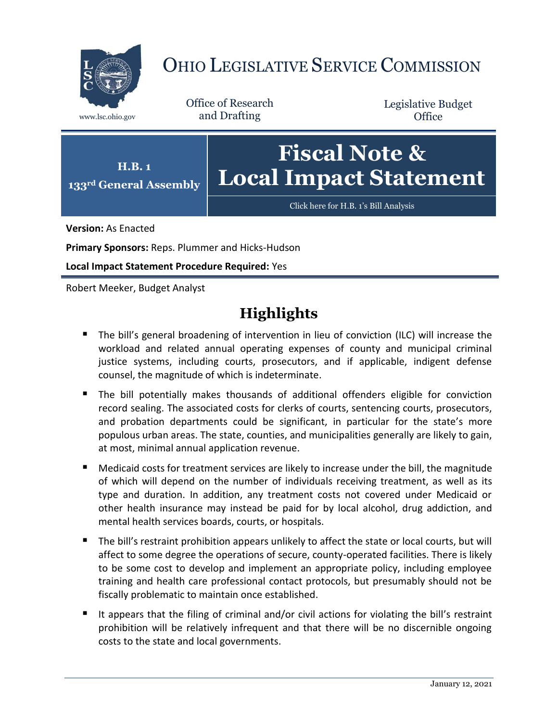

# OHIO LEGISLATIVE SERVICE COMMISSION

Office of Research www.lsc.ohio.gov and Drafting

Legislative Budget **Office** 



**Version:** As Enacted

**Primary Sponsors:** Reps. Plummer and Hicks-Hudson

**Local Impact Statement Procedure Required:** Yes

Robert Meeker, Budget Analyst

# **Highlights**

- The bill's general broadening of intervention in lieu of conviction (ILC) will increase the workload and related annual operating expenses of county and municipal criminal justice systems, including courts, prosecutors, and if applicable, indigent defense counsel, the magnitude of which is indeterminate.
- The bill potentially makes thousands of additional offenders eligible for conviction record sealing. The associated costs for clerks of courts, sentencing courts, prosecutors, and probation departments could be significant, in particular for the state's more populous urban areas. The state, counties, and municipalities generally are likely to gain, at most, minimal annual application revenue.
- Medicaid costs for treatment services are likely to increase under the bill, the magnitude of which will depend on the number of individuals receiving treatment, as well as its type and duration. In addition, any treatment costs not covered under Medicaid or other health insurance may instead be paid for by local alcohol, drug addiction, and mental health services boards, courts, or hospitals.
- The bill's restraint prohibition appears unlikely to affect the state or local courts, but will affect to some degree the operations of secure, county-operated facilities. There is likely to be some cost to develop and implement an appropriate policy, including employee training and health care professional contact protocols, but presumably should not be fiscally problematic to maintain once established.
- It appears that the filing of criminal and/or civil actions for violating the bill's restraint prohibition will be relatively infrequent and that there will be no discernible ongoing costs to the state and local governments.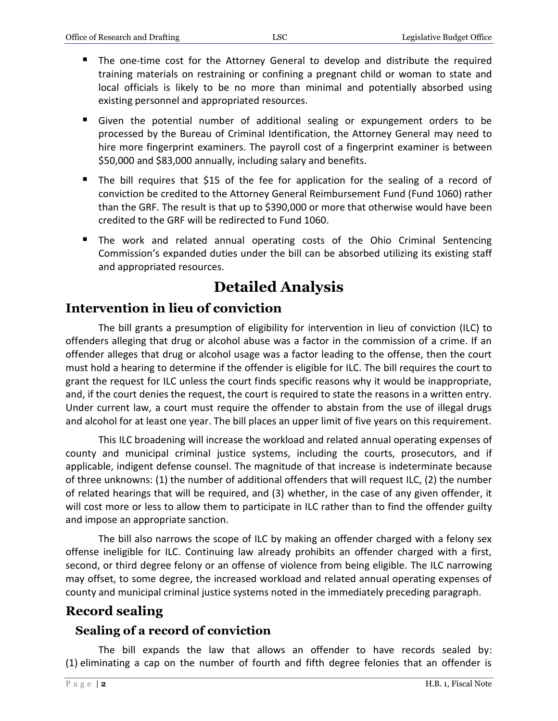- The one-time cost for the Attorney General to develop and distribute the required training materials on restraining or confining a pregnant child or woman to state and local officials is likely to be no more than minimal and potentially absorbed using existing personnel and appropriated resources.
- Given the potential number of additional sealing or expungement orders to be processed by the Bureau of Criminal Identification, the Attorney General may need to hire more fingerprint examiners. The payroll cost of a fingerprint examiner is between \$50,000 and \$83,000 annually, including salary and benefits.
- The bill requires that \$15 of the fee for application for the sealing of a record of conviction be credited to the Attorney General Reimbursement Fund (Fund 1060) rather than the GRF. The result is that up to \$390,000 or more that otherwise would have been credited to the GRF will be redirected to Fund 1060.
- The work and related annual operating costs of the Ohio Criminal Sentencing Commission's expanded duties under the bill can be absorbed utilizing its existing staff and appropriated resources.

# **Detailed Analysis**

### **Intervention in lieu of conviction**

The bill grants a presumption of eligibility for intervention in lieu of conviction (ILC) to offenders alleging that drug or alcohol abuse was a factor in the commission of a crime. If an offender alleges that drug or alcohol usage was a factor leading to the offense, then the court must hold a hearing to determine if the offender is eligible for ILC. The bill requires the court to grant the request for ILC unless the court finds specific reasons why it would be inappropriate, and, if the court denies the request, the court is required to state the reasons in a written entry. Under current law, a court must require the offender to abstain from the use of illegal drugs and alcohol for at least one year. The bill places an upper limit of five years on this requirement.

This ILC broadening will increase the workload and related annual operating expenses of county and municipal criminal justice systems, including the courts, prosecutors, and if applicable, indigent defense counsel. The magnitude of that increase is indeterminate because of three unknowns: (1) the number of additional offenders that will request ILC, (2) the number of related hearings that will be required, and (3) whether, in the case of any given offender, it will cost more or less to allow them to participate in ILC rather than to find the offender guilty and impose an appropriate sanction.

The bill also narrows the scope of ILC by making an offender charged with a felony sex offense ineligible for ILC. Continuing law already prohibits an offender charged with a first, second, or third degree felony or an offense of violence from being eligible. The ILC narrowing may offset, to some degree, the increased workload and related annual operating expenses of county and municipal criminal justice systems noted in the immediately preceding paragraph.

# **Record sealing**

#### **Sealing of a record of conviction**

The bill expands the law that allows an offender to have records sealed by: (1) eliminating a cap on the number of fourth and fifth degree felonies that an offender is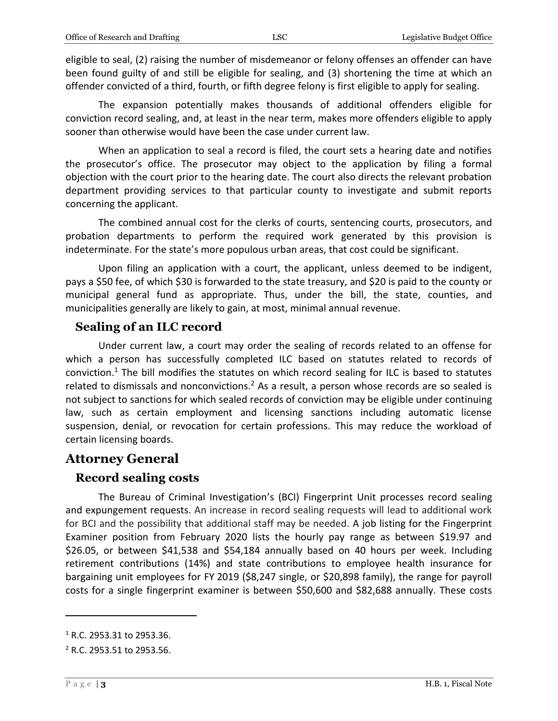eligible to seal, (2) raising the number of misdemeanor or felony offenses an offender can have been found guilty of and still be eligible for sealing, and (3) shortening the time at which an offender convicted of a third, fourth, or fifth degree felony is first eligible to apply for sealing.

The expansion potentially makes thousands of additional offenders eligible for conviction record sealing, and, at least in the near term, makes more offenders eligible to apply sooner than otherwise would have been the case under current law.

When an application to seal a record is filed, the court sets a hearing date and notifies the prosecutor's office. The prosecutor may object to the application by filing a formal objection with the court prior to the hearing date. The court also directs the relevant probation department providing services to that particular county to investigate and submit reports concerning the applicant.

The combined annual cost for the clerks of courts, sentencing courts, prosecutors, and probation departments to perform the required work generated by this provision is indeterminate. For the state's more populous urban areas, that cost could be significant.

Upon filing an application with a court, the applicant, unless deemed to be indigent, pays a \$50 fee, of which \$30 is forwarded to the state treasury, and \$20 is paid to the county or municipal general fund as appropriate. Thus, under the bill, the state, counties, and municipalities generally are likely to gain, at most, minimal annual revenue.

#### **Sealing of an ILC record**

Under current law, a court may order the sealing of records related to an offense for which a person has successfully completed ILC based on statutes related to records of conviction.<sup>1</sup> The bill modifies the statutes on which record sealing for ILC is based to statutes related to dismissals and nonconvictions.<sup>2</sup> As a result, a person whose records are so sealed is not subject to sanctions for which sealed records of conviction may be eligible under continuing law, such as certain employment and licensing sanctions including automatic license suspension, denial, or revocation for certain professions. This may reduce the workload of certain licensing boards.

#### **Attorney General**

#### **Record sealing costs**

The Bureau of Criminal Investigation's (BCI) Fingerprint Unit processes record sealing and expungement requests. An increase in record sealing requests will lead to additional work for BCI and the possibility that additional staff may be needed. A job listing for the Fingerprint Examiner position from February 2020 lists the hourly pay range as between \$19.97 and \$26.05, or between \$41,538 and \$54,184 annually based on 40 hours per week. Including retirement contributions (14%) and state contributions to employee health insurance for bargaining unit employees for FY 2019 (\$8,247 single, or \$20,898 family), the range for payroll costs for a single fingerprint examiner is between \$50,600 and \$82,688 annually. These costs

 $\overline{a}$ 

 $1$  R.C. 2953.31 to 2953.36.

<sup>2</sup> R.C. 2953.51 to 2953.56.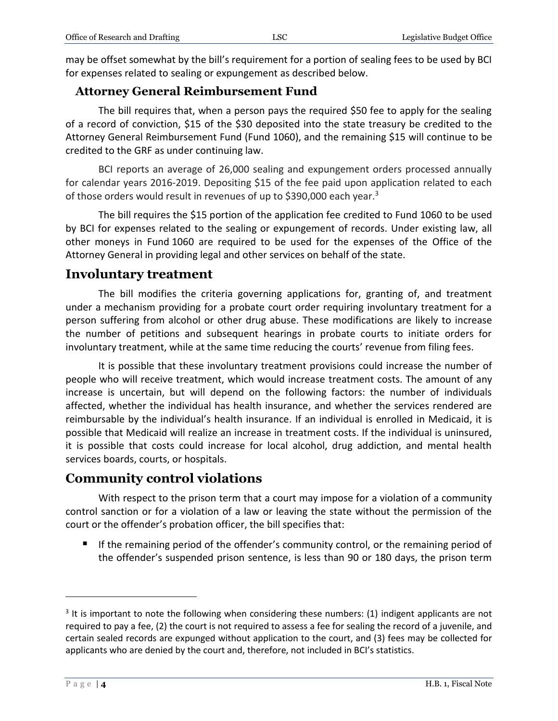may be offset somewhat by the bill's requirement for a portion of sealing fees to be used by BCI for expenses related to sealing or expungement as described below.

#### **Attorney General Reimbursement Fund**

The bill requires that, when a person pays the required \$50 fee to apply for the sealing of a record of conviction, \$15 of the \$30 deposited into the state treasury be credited to the Attorney General Reimbursement Fund (Fund 1060), and the remaining \$15 will continue to be credited to the GRF as under continuing law.

BCI reports an average of 26,000 sealing and expungement orders processed annually for calendar years 2016-2019. Depositing \$15 of the fee paid upon application related to each of those orders would result in revenues of up to \$390,000 each year.<sup>3</sup>

The bill requires the \$15 portion of the application fee credited to Fund 1060 to be used by BCI for expenses related to the sealing or expungement of records. Under existing law, all other moneys in Fund 1060 are required to be used for the expenses of the Office of the Attorney General in providing legal and other services on behalf of the state.

#### **Involuntary treatment**

The bill modifies the criteria governing applications for, granting of, and treatment under a mechanism providing for a probate court order requiring involuntary treatment for a person suffering from alcohol or other drug abuse. These modifications are likely to increase the number of petitions and subsequent hearings in probate courts to initiate orders for involuntary treatment, while at the same time reducing the courts' revenue from filing fees.

It is possible that these involuntary treatment provisions could increase the number of people who will receive treatment, which would increase treatment costs. The amount of any increase is uncertain, but will depend on the following factors: the number of individuals affected, whether the individual has health insurance, and whether the services rendered are reimbursable by the individual's health insurance. If an individual is enrolled in Medicaid, it is possible that Medicaid will realize an increase in treatment costs. If the individual is uninsured, it is possible that costs could increase for local alcohol, drug addiction, and mental health services boards, courts, or hospitals.

#### **Community control violations**

With respect to the prison term that a court may impose for a violation of a community control sanction or for a violation of a law or leaving the state without the permission of the court or the offender's probation officer, the bill specifies that:

If the remaining period of the offender's community control, or the remaining period of the offender's suspended prison sentence, is less than 90 or 180 days, the prison term

 $\overline{a}$ 

 $3$  It is important to note the following when considering these numbers: (1) indigent applicants are not required to pay a fee, (2) the court is not required to assess a fee for sealing the record of a juvenile, and certain sealed records are expunged without application to the court, and (3) fees may be collected for applicants who are denied by the court and, therefore, not included in BCI's statistics.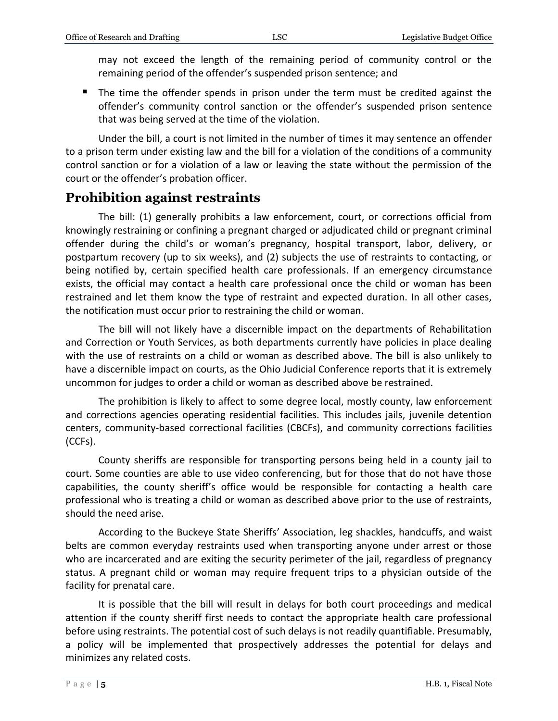may not exceed the length of the remaining period of community control or the remaining period of the offender's suspended prison sentence; and

 The time the offender spends in prison under the term must be credited against the offender's community control sanction or the offender's suspended prison sentence that was being served at the time of the violation.

Under the bill, a court is not limited in the number of times it may sentence an offender to a prison term under existing law and the bill for a violation of the conditions of a community control sanction or for a violation of a law or leaving the state without the permission of the court or the offender's probation officer.

#### **Prohibition against restraints**

The bill: (1) generally prohibits a law enforcement, court, or corrections official from knowingly restraining or confining a pregnant charged or adjudicated child or pregnant criminal offender during the child's or woman's pregnancy, hospital transport, labor, delivery, or postpartum recovery (up to six weeks), and (2) subjects the use of restraints to contacting, or being notified by, certain specified health care professionals. If an emergency circumstance exists, the official may contact a health care professional once the child or woman has been restrained and let them know the type of restraint and expected duration. In all other cases, the notification must occur prior to restraining the child or woman.

The bill will not likely have a discernible impact on the departments of Rehabilitation and Correction or Youth Services, as both departments currently have policies in place dealing with the use of restraints on a child or woman as described above. The bill is also unlikely to have a discernible impact on courts, as the Ohio Judicial Conference reports that it is extremely uncommon for judges to order a child or woman as described above be restrained.

The prohibition is likely to affect to some degree local, mostly county, law enforcement and corrections agencies operating residential facilities. This includes jails, juvenile detention centers, community-based correctional facilities (CBCFs), and community corrections facilities (CCFs).

County sheriffs are responsible for transporting persons being held in a county jail to court. Some counties are able to use video conferencing, but for those that do not have those capabilities, the county sheriff's office would be responsible for contacting a health care professional who is treating a child or woman as described above prior to the use of restraints, should the need arise.

According to the Buckeye State Sheriffs' Association, leg shackles, handcuffs, and waist belts are common everyday restraints used when transporting anyone under arrest or those who are incarcerated and are exiting the security perimeter of the jail, regardless of pregnancy status. A pregnant child or woman may require frequent trips to a physician outside of the facility for prenatal care.

It is possible that the bill will result in delays for both court proceedings and medical attention if the county sheriff first needs to contact the appropriate health care professional before using restraints. The potential cost of such delays is not readily quantifiable. Presumably, a policy will be implemented that prospectively addresses the potential for delays and minimizes any related costs.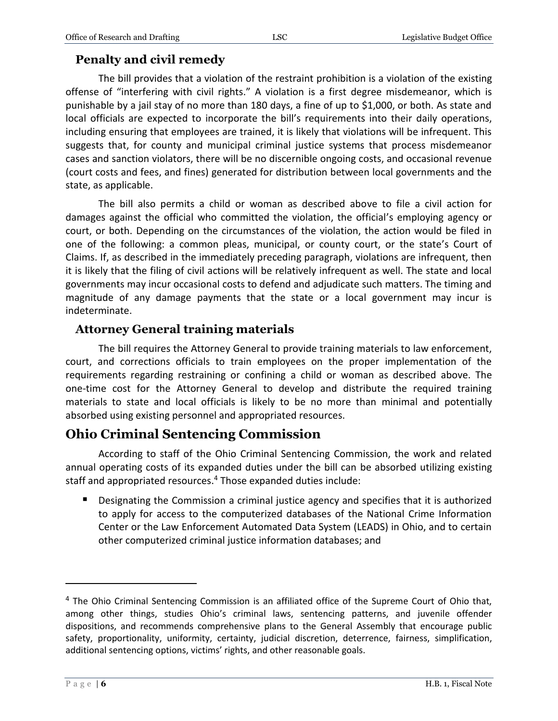### **Penalty and civil remedy**

The bill provides that a violation of the restraint prohibition is a violation of the existing offense of "interfering with civil rights." A violation is a first degree misdemeanor, which is punishable by a jail stay of no more than 180 days, a fine of up to \$1,000, or both. As state and local officials are expected to incorporate the bill's requirements into their daily operations, including ensuring that employees are trained, it is likely that violations will be infrequent. This suggests that, for county and municipal criminal justice systems that process misdemeanor cases and sanction violators, there will be no discernible ongoing costs, and occasional revenue (court costs and fees, and fines) generated for distribution between local governments and the state, as applicable.

The bill also permits a child or woman as described above to file a civil action for damages against the official who committed the violation, the official's employing agency or court, or both. Depending on the circumstances of the violation, the action would be filed in one of the following: a common pleas, municipal, or county court, or the state's Court of Claims. If, as described in the immediately preceding paragraph, violations are infrequent, then it is likely that the filing of civil actions will be relatively infrequent as well. The state and local governments may incur occasional costs to defend and adjudicate such matters. The timing and magnitude of any damage payments that the state or a local government may incur is indeterminate.

#### **Attorney General training materials**

The bill requires the Attorney General to provide training materials to law enforcement, court, and corrections officials to train employees on the proper implementation of the requirements regarding restraining or confining a child or woman as described above. The one-time cost for the Attorney General to develop and distribute the required training materials to state and local officials is likely to be no more than minimal and potentially absorbed using existing personnel and appropriated resources.

# **Ohio Criminal Sentencing Commission**

According to staff of the Ohio Criminal Sentencing Commission, the work and related annual operating costs of its expanded duties under the bill can be absorbed utilizing existing staff and appropriated resources. <sup>4</sup> Those expanded duties include:

**Designating the Commission a criminal justice agency and specifies that it is authorized** to apply for access to the computerized databases of the National Crime Information Center or the Law Enforcement Automated Data System (LEADS) in Ohio, and to certain other computerized criminal justice information databases; and

 $\overline{a}$ 

 $4$  The Ohio Criminal Sentencing Commission is an affiliated office of the Supreme Court of Ohio that, among other things, studies Ohio's criminal laws, sentencing patterns, and juvenile offender dispositions, and recommends comprehensive plans to the General Assembly that encourage public safety, proportionality, uniformity, certainty, judicial discretion, deterrence, fairness, simplification, additional sentencing options, victims' rights, and other reasonable goals.